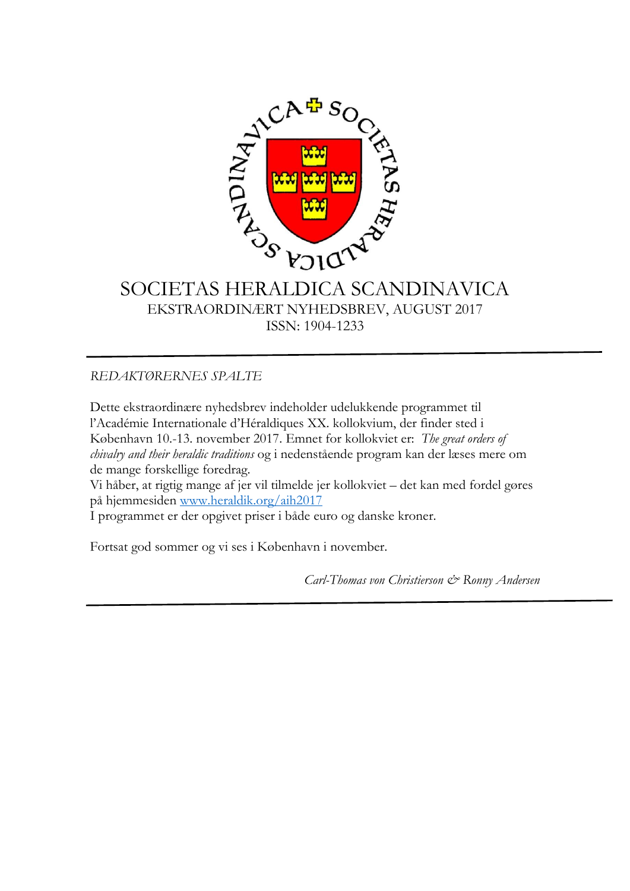

# SOCIETAS HERALDICA SCANDINAVICA EKSTRAORDINÆRT NYHEDSBREV, AUGUST 2017 ISSN: 1904-1233

*REDAKTØRERNES SPALTE*

Dette ekstraordinære nyhedsbrev indeholder udelukkende programmet til l'Académie Internationale d'Héraldiques XX. kollokvium, der finder sted i København 10.-13. november 2017. Emnet for kollokviet er: *The great orders of chivalry and their heraldic traditions* og i nedenstående program kan der læses mere om de mange forskellige foredrag.

Vi håber, at rigtig mange af jer vil tilmelde jer kollokviet – det kan med fordel gøres på hjemmesiden [www.heraldik.org/aih2017](http://www.heraldik.org/aih2017)

I programmet er der opgivet priser i både euro og danske kroner.

Fortsat god sommer og vi ses i København i november.

*Carl-Thomas von Christierson & Ronny Andersen*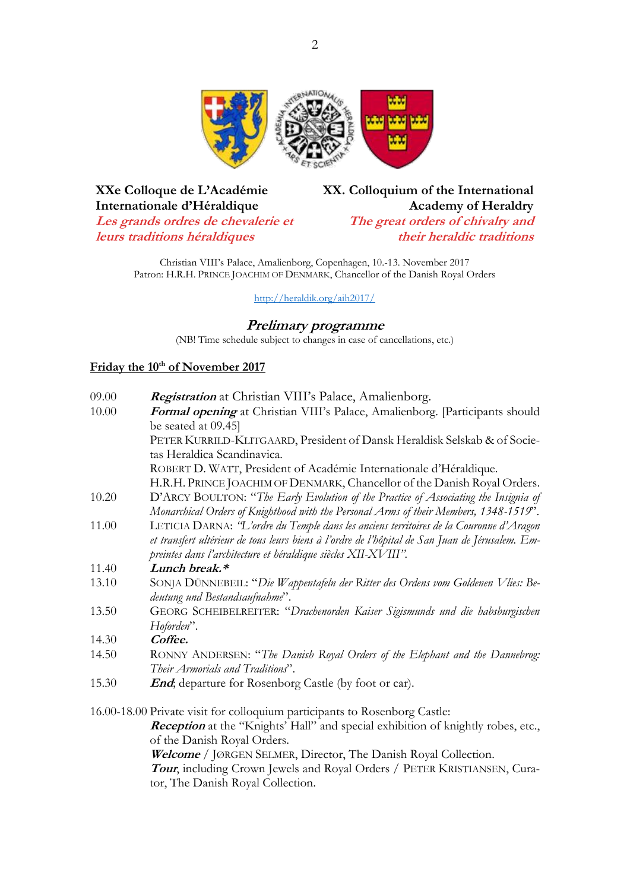

## **XXe Colloque de L'Académie Internationale d'Héraldique Les grands ordres de chevalerie et leurs traditions héraldiques**

**XX. Colloquium of the International Academy of Heraldry The great orders of chivalry and their heraldic traditions**

Christian VIII's Palace, Amalienborg, Copenhagen, 10.-13. November 2017 Patron: H.R.H. PRINCE JOACHIM OF DENMARK, Chancellor of the Danish Royal Orders

<http://heraldik.org/aih2017/>

## **Prelimary programme**

(NB! Time schedule subject to changes in case of cancellations, etc.)

# **Friday the 10th of November 2017**

| 09.00 | Registration at Christian VIII's Palace, Amalienborg.                                           |  |  |  |
|-------|-------------------------------------------------------------------------------------------------|--|--|--|
| 10.00 | Formal opening at Christian VIII's Palace, Amalienborg. [Participants should                    |  |  |  |
|       | be seated at 09.45]                                                                             |  |  |  |
|       | PETER KURRILD-KLITGAARD, President of Dansk Heraldisk Selskab & of Socie-                       |  |  |  |
|       | tas Heraldica Scandinavica.                                                                     |  |  |  |
|       | ROBERT D. WATT, President of Académie Internationale d'Héraldique.                              |  |  |  |
|       | H.R.H. PRINCE JOACHIM OF DENMARK, Chancellor of the Danish Royal Orders.                        |  |  |  |
| 10.20 | D'ARCY BOULTON: "The Early Evolution of the Practice of Associating the Insignia of             |  |  |  |
|       | Monarchical Orders of Knighthood with the Personal Arms of their Members, 1348-1519".           |  |  |  |
| 11.00 | LETICIA DARNA: "L'ordre du Temple dans les anciens territoires de la Couronne d'Aragon          |  |  |  |
|       | et transfert ultérieur de tous leurs biens à l'ordre de l'hôpital de San Juan de Jérusalem. Em- |  |  |  |
|       | preintes dans l'architecture et héraldique siècles XII-XVIII".                                  |  |  |  |
| 11.40 | Lunch break.*                                                                                   |  |  |  |
| 13.10 | SONJA DÜNNEBEIL: "Die Wappentafeln der Ritter des Ordens vom Goldenen Vlies: Be-                |  |  |  |
|       | deutung und Bestandsaufnahme".                                                                  |  |  |  |
| 13.50 | GEORG SCHEIBELREITER: "Drachenorden Kaiser Sigismunds und die habsburgischen                    |  |  |  |
|       | Hoforden".                                                                                      |  |  |  |
| 14.30 | Coffee.                                                                                         |  |  |  |
| 14.50 | RONNY ANDERSEN: "The Danish Royal Orders of the Elephant and the Dannebrog:                     |  |  |  |
|       | Their Armorials and Traditions".                                                                |  |  |  |
| 15.30 | <b>End</b> , departure for Rosenborg Castle (by foot or car).                                   |  |  |  |
|       | 16.00-18.00 Private visit for colloquium participants to Rosenborg Castle:                      |  |  |  |
|       | <b>Reception</b> at the "Knights' Hall" and special exhibition of knightly robes, etc.,         |  |  |  |
|       | of the Danish Royal Orders.                                                                     |  |  |  |
|       | Welcome / JØRGEN SELMER, Director, The Danish Royal Collection.                                 |  |  |  |
|       | Tour, including Crown Jewels and Royal Orders / PETER KRISTIANSEN, Cura-                        |  |  |  |
|       | tor, The Danish Royal Collection.                                                               |  |  |  |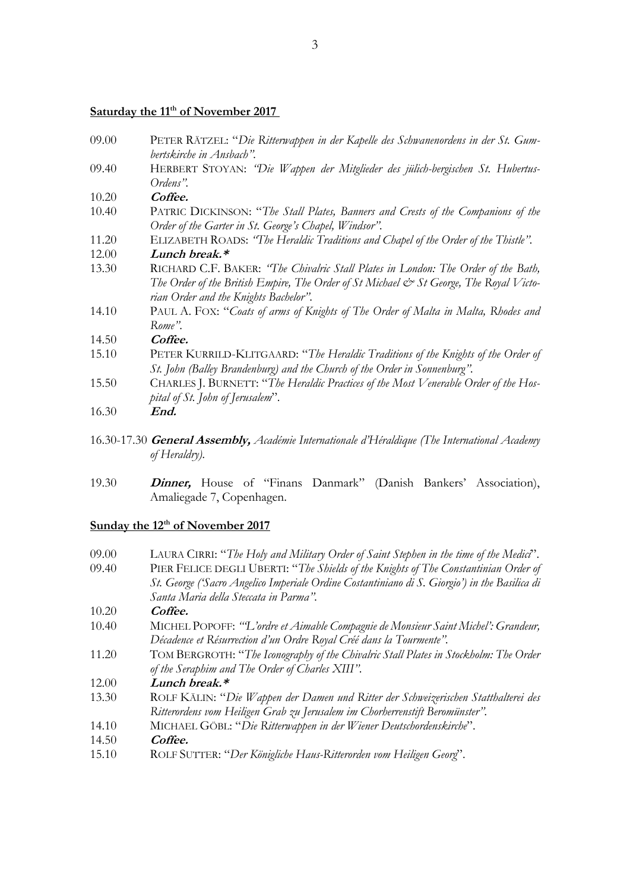#### **Saturday the 11th of November 2017**

- 09.00 PETER RÄTZEL: "*Die Ritterwappen in der Kapelle des Schwanenordens in der St. Gumbertskirche in Ansbach".*
- 09.40 HERBERT STOYAN: *"Die Wappen der Mitglieder des jülich-bergischen St. Hubertus-Ordens".*
- 10.20 **Coffee.**
- 10.40 PATRIC DICKINSON: "*The Stall Plates, Banners and Crests of the Companions of the Order of the Garter in St. George's Chapel, Windsor".*
- 11.20 ELIZABETH ROADS: *"The Heraldic Traditions and Chapel of the Order of the Thistle".*
- 12.00 **Lunch break.\***
- 13.30 RICHARD C.F. BAKER: *"The Chivalric Stall Plates in London: The Order of the Bath,*  The Order of the British Empire, The Order of St Michael & St George, The Royal Victo*rian Order and the Knights Bachelor"*.
- 14.10 PAUL A. FOX: "*Coats of arms of Knights of The Order of Malta in Malta, Rhodes and Rome"*.

#### 14.50 **Coffee.**

- 15.10 PETER KURRILD-KLITGAARD: "*The Heraldic Traditions of the Knights of the Order of St. John (Balley Brandenburg) and the Church of the Order in Sonnenburg".*
- 15.50 CHARLES J. BURNETT: "*The Heraldic Practices of the Most Venerable Order of the Hospital of St. John of Jerusalem*".
- 16.30 **End.**
- 16.30-17.30 **General Assembly,** *Académie Internationale d'Héraldique (The International Academy of Heraldry).*
- 19.30 **Dinner,** House of "Finans Danmark" (Danish Bankers' Association), Amaliegade 7, Copenhagen.

#### **Sunday the 12th of November 2017**

- 09.00 LAURA CIRRI: "*The Holy and Military Order of Saint Stephen in the time of the Medici*".
- 09.40 PIER FELICE DEGLI UBERTI: "*The Shields of the Knights of The Constantinian Order of St. George ('Sacro Angelico Imperiale Ordine Costantiniano di S. Giorgio') in the Basilica di Santa Maria della Steccata in Parma".*
- 10.20 **Coffee.**
- 10.40 MICHEL POPOFF: *"'L'ordre et Aimable Compagnie de Monsieur Saint Michel': Grandeur, Décadence et Résurrection d'un Ordre Royal Créé dans la Tourmente".*
- 11.20 TOM BERGROTH: "*The Iconography of the Chivalric Stall Plates in Stockholm: The Order of the Seraphim and The Order of Charles XIII"*.

#### 12.00 **Lunch break.\***

- 13.30 ROLF KÄLIN: "*Die Wappen der Damen und Ritter der Schweizerischen Statthalterei des Ritterordens vom Heiligen Grab zu Jerusalem im Chorherrenstift Beromünster".*
- 14.10 MICHAEL GÖBL: "*Die Ritterwappen in der Wiener Deutschordenskirche*".
- 14.50 **Coffee.**
- 15.10 ROLF SUTTER: "*Der Königliche Haus-Ritterorden vom Heiligen Georg*".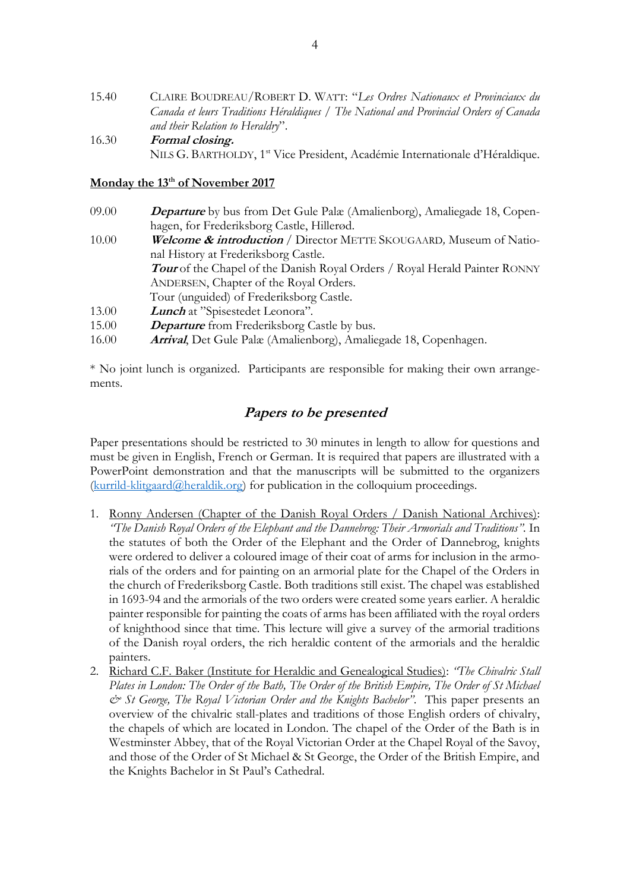- 15.40 CLAIRE BOUDREAU/ROBERT D. WATT: "*Les Ordres Nationaux et Provinciaux du Canada et leurs Traditions Héraldiques / The National and Provincial Orders of Canada and their Relation to Heraldry*".
- 16.30 **Formal closing.** NILS G. BARTHOLDY, 1st Vice President, Académie Internationale d'Héraldique.

#### **Monday the 13th of November 2017**

- 09.00 **Departure** by bus from Det Gule Palæ (Amalienborg), Amaliegade 18, Copenhagen, for Frederiksborg Castle, Hillerød. 10.00 **Welcome & introduction** / Director METTE SKOUGAARD*,* Museum of National History at Frederiksborg Castle. **Tour** of the Chapel of the Danish Royal Orders / Royal Herald Painter RONNY ANDERSEN, Chapter of the Royal Orders. Tour (unguided) of Frederiksborg Castle. 13.00 **Lunch** at "Spisestedet Leonora"*.* 15.00 **Departure** from Frederiksborg Castle by bus.
- 16.00 **Arrival**, Det Gule Palæ (Amalienborg), Amaliegade 18, Copenhagen.

\* No joint lunch is organized. Participants are responsible for making their own arrangements.

# **Papers to be presented**

Paper presentations should be restricted to 30 minutes in length to allow for questions and must be given in English, French or German. It is required that papers are illustrated with a PowerPoint demonstration and that the manuscripts will be submitted to the organizers [\(kurrild-klitgaard@heraldik.org\)](mailto:kurrild-klitgaard@heraldik.org) for publication in the colloquium proceedings.

- 1. Ronny Andersen (Chapter of the Danish Royal Orders / Danish National Archives): *"The Danish Royal Orders of the Elephant and the Dannebrog: Their Armorials and Traditions".* In the statutes of both the Order of the Elephant and the Order of Dannebrog, knights were ordered to deliver a coloured image of their coat of arms for inclusion in the armorials of the orders and for painting on an armorial plate for the Chapel of the Orders in the church of Frederiksborg Castle. Both traditions still exist. The chapel was established in 1693-94 and the armorials of the two orders were created some years earlier. A heraldic painter responsible for painting the coats of arms has been affiliated with the royal orders of knighthood since that time. This lecture will give a survey of the armorial traditions of the Danish royal orders, the rich heraldic content of the armorials and the heraldic painters.
- 2. Richard C.F. Baker (Institute for Heraldic and Genealogical Studies): *"The Chivalric Stall Plates in London: The Order of the Bath, The Order of the British Empire, The Order of St Michael & St George, The Royal Victorian Order and the Knights Bachelor"*. This paper presents an overview of the chivalric stall-plates and traditions of those English orders of chivalry, the chapels of which are located in London. The chapel of the Order of the Bath is in Westminster Abbey, that of the Royal Victorian Order at the Chapel Royal of the Savoy, and those of the Order of St Michael & St George, the Order of the British Empire, and the Knights Bachelor in St Paul's Cathedral.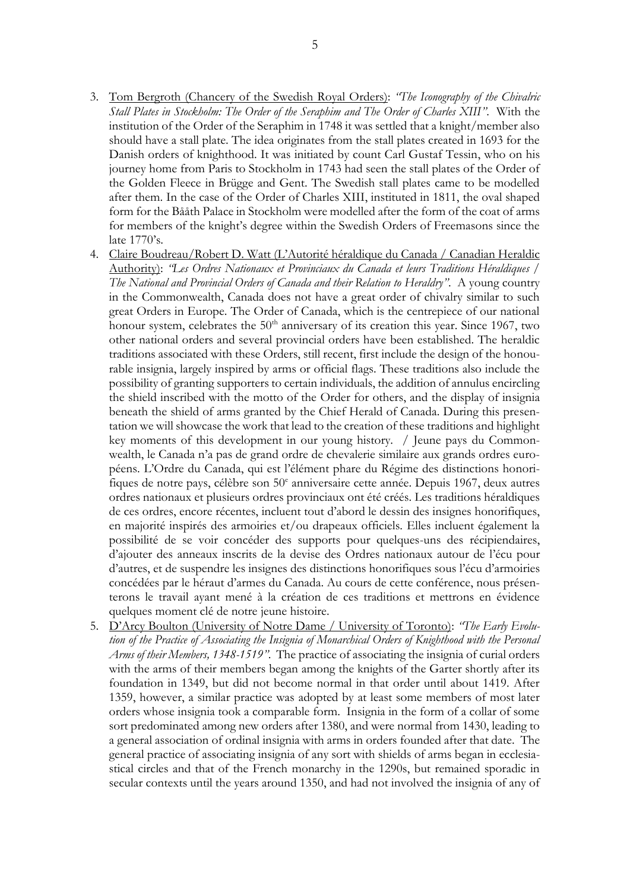- 3. Tom Bergroth (Chancery of the Swedish Royal Orders): *"The Iconography of the Chivalric Stall Plates in Stockholm: The Order of the Seraphim and The Order of Charles XIII"*. With the institution of the Order of the Seraphim in 1748 it was settled that a knight/member also should have a stall plate. The idea originates from the stall plates created in 1693 for the Danish orders of knighthood. It was initiated by count Carl Gustaf Tessin, who on his
- journey home from Paris to Stockholm in 1743 had seen the stall plates of the Order of the Golden Fleece in Brügge and Gent. The Swedish stall plates came to be modelled after them. In the case of the Order of Charles XIII, instituted in 1811, the oval shaped form for the Bååth Palace in Stockholm were modelled after the form of the coat of arms for members of the knight's degree within the Swedish Orders of Freemasons since the late 1770's.
- 4. Claire Boudreau/Robert D. Watt (L'Autorité héraldique du Canada / Canadian Heraldic Authority): *"Les Ordres Nationaux et Provinciaux du Canada et leurs Traditions Héraldiques / The National and Provincial Orders of Canada and their Relation to Heraldry"*. A young country in the Commonwealth, Canada does not have a great order of chivalry similar to such great Orders in Europe. The Order of Canada, which is the centrepiece of our national honour system, celebrates the  $50<sup>th</sup>$  anniversary of its creation this year. Since 1967, two other national orders and several provincial orders have been established. The heraldic traditions associated with these Orders, still recent, first include the design of the honourable insignia, largely inspired by arms or official flags. These traditions also include the possibility of granting supporters to certain individuals, the addition of annulus encircling the shield inscribed with the motto of the Order for others, and the display of insignia beneath the shield of arms granted by the Chief Herald of Canada. During this presentation we will showcase the work that lead to the creation of these traditions and highlight key moments of this development in our young history. / Jeune pays du Commonwealth, le Canada n'a pas de grand ordre de chevalerie similaire aux grands ordres européens. L'Ordre du Canada, qui est l'élément phare du Régime des distinctions honorifiques de notre pays, célèbre son 50<sup>e</sup> anniversaire cette année. Depuis 1967, deux autres ordres nationaux et plusieurs ordres provinciaux ont été créés. Les traditions héraldiques de ces ordres, encore récentes, incluent tout d'abord le dessin des insignes honorifiques, en majorité inspirés des armoiries et/ou drapeaux officiels. Elles incluent également la possibilité de se voir concéder des supports pour quelques-uns des récipiendaires, d'ajouter des anneaux inscrits de la devise des Ordres nationaux autour de l'écu pour d'autres, et de suspendre les insignes des distinctions honorifiques sous l'écu d'armoiries concédées par le héraut d'armes du Canada. Au cours de cette conférence, nous présenterons le travail ayant mené à la création de ces traditions et mettrons en évidence quelques moment clé de notre jeune histoire.
- 5. D'Arcy Boulton (University of Notre Dame / University of Toronto): *"The Early Evolution of the Practice of Associating the Insignia of Monarchical Orders of Knighthood with the Personal Arms of their Members, 1348-1519"*. The practice of associating the insignia of curial orders with the arms of their members began among the knights of the Garter shortly after its foundation in 1349, but did not become normal in that order until about 1419. After 1359, however, a similar practice was adopted by at least some members of most later orders whose insignia took a comparable form. Insignia in the form of a collar of some sort predominated among new orders after 1380, and were normal from 1430, leading to a general association of ordinal insignia with arms in orders founded after that date. The general practice of associating insignia of any sort with shields of arms began in ecclesiastical circles and that of the French monarchy in the 1290s, but remained sporadic in secular contexts until the years around 1350, and had not involved the insignia of any of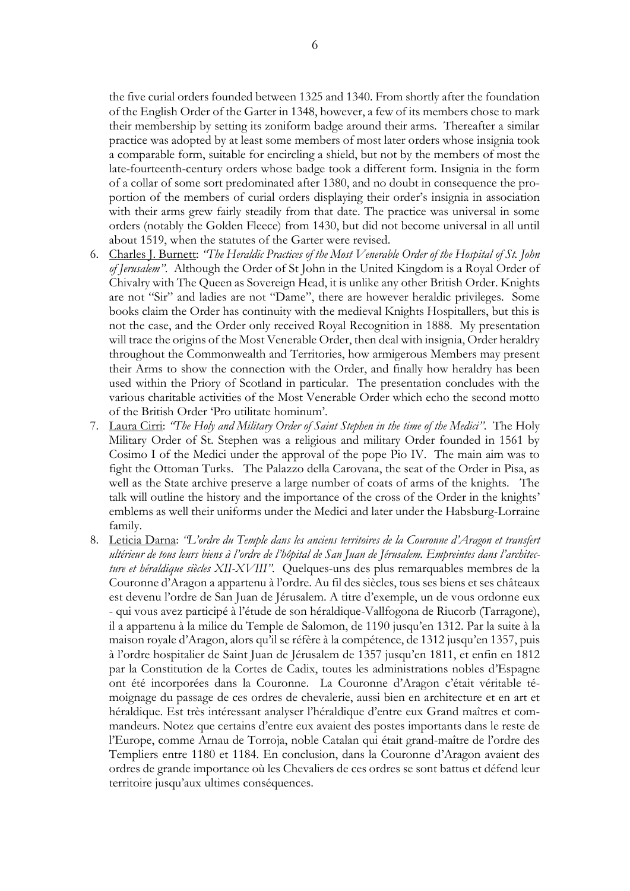the five curial orders founded between 1325 and 1340. From shortly after the foundation of the English Order of the Garter in 1348, however, a few of its members chose to mark their membership by setting its zoniform badge around their arms. Thereafter a similar practice was adopted by at least some members of most later orders whose insignia took a comparable form, suitable for encircling a shield, but not by the members of most the late-fourteenth-century orders whose badge took a different form. Insignia in the form of a collar of some sort predominated after 1380, and no doubt in consequence the proportion of the members of curial orders displaying their order's insignia in association with their arms grew fairly steadily from that date. The practice was universal in some orders (notably the Golden Fleece) from 1430, but did not become universal in all until about 1519, when the statutes of the Garter were revised.

- 6. Charles J. Burnett: *"The Heraldic Practices of the Most Venerable Order of the Hospital of St. John of Jerusalem"*. Although the Order of St John in the United Kingdom is a Royal Order of Chivalry with The Queen as Sovereign Head, it is unlike any other British Order. Knights are not "Sir" and ladies are not "Dame", there are however heraldic privileges. Some books claim the Order has continuity with the medieval Knights Hospitallers, but this is not the case, and the Order only received Royal Recognition in 1888. My presentation will trace the origins of the Most Venerable Order, then deal with insignia, Order heraldry throughout the Commonwealth and Territories, how armigerous Members may present their Arms to show the connection with the Order, and finally how heraldry has been used within the Priory of Scotland in particular. The presentation concludes with the various charitable activities of the Most Venerable Order which echo the second motto of the British Order 'Pro utilitate hominum'.
- 7. Laura Cirri: *"The Holy and Military Order of Saint Stephen in the time of the Medici"*. The Holy Military Order of St. Stephen was a religious and military Order founded in 1561 by Cosimo I of the Medici under the approval of the pope Pio IV. The main aim was to fight the Ottoman Turks. The Palazzo della Carovana, the seat of the Order in Pisa, as well as the State archive preserve a large number of coats of arms of the knights. The talk will outline the history and the importance of the cross of the Order in the knights' emblems as well their uniforms under the Medici and later under the Habsburg-Lorraine family.
- 8. Leticia Darna: *"L'ordre du Temple dans les anciens territoires de la Couronne d'Aragon et transfert ultérieur de tous leurs biens à l'ordre de l'hôpital de San Juan de Jérusalem. Empreintes dans l'architecture et héraldique siècles XII-XVIII".* Quelques-uns des plus remarquables membres de la Couronne d'Aragon a appartenu à l'ordre. Au fil des siècles, tous ses biens et ses châteaux est devenu l'ordre de San Juan de Jérusalem. A titre d'exemple, un de vous ordonne eux - qui vous avez participé à l'étude de son héraldique-Vallfogona de Riucorb (Tarragone), il a appartenu à la milice du Temple de Salomon, de 1190 jusqu'en 1312. Par la suite à la maison royale d'Aragon, alors qu'il se réfère à la compétence, de 1312 jusqu'en 1357, puis à l'ordre hospitalier de Saint Juan de Jérusalem de 1357 jusqu'en 1811, et enfin en 1812 par la Constitution de la Cortes de Cadix, toutes les administrations nobles d'Espagne ont été incorporées dans la Couronne. La Couronne d'Aragon c'était véritable témoignage du passage de ces ordres de chevalerie, aussi bien en architecture et en art et héraldique. Est très intéressant analyser l'héraldique d'entre eux Grand maîtres et commandeurs. Notez que certains d'entre eux avaient des postes importants dans le reste de l'Europe, comme Arnau de Torroja, noble Catalan qui était grand-maître de l'ordre des Templiers entre 1180 et 1184. En conclusion, dans la Couronne d'Aragon avaient des ordres de grande importance où les Chevaliers de ces ordres se sont battus et défend leur territoire jusqu'aux ultimes conséquences.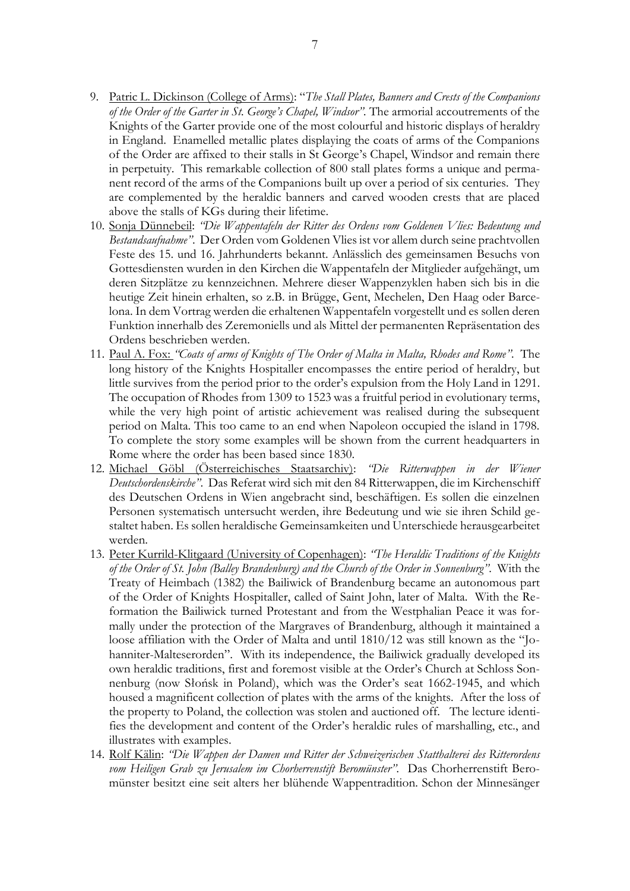- 9. Patric L. Dickinson (College of Arms): "*The Stall Plates, Banners and Crests of the Companions of the Order of the Garter in St. George's Chapel, Windsor".* The armorial accoutrements of the Knights of the Garter provide one of the most colourful and historic displays of heraldry in England. Enamelled metallic plates displaying the coats of arms of the Companions of the Order are affixed to their stalls in St George's Chapel, Windsor and remain there in perpetuity. This remarkable collection of 800 stall plates forms a unique and permanent record of the arms of the Companions built up over a period of six centuries. They are complemented by the heraldic banners and carved wooden crests that are placed above the stalls of KGs during their lifetime.
- 10. Sonja Dünnebeil: *"Die Wappentafeln der Ritter des Ordens vom Goldenen Vlies: Bedeutung und Bestandsaufnahme"*. Der Orden vom Goldenen Vlies ist vor allem durch seine prachtvollen Feste des 15. und 16. Jahrhunderts bekannt. Anlässlich des gemeinsamen Besuchs von Gottesdiensten wurden in den Kirchen die Wappentafeln der Mitglieder aufgehängt, um deren Sitzplätze zu kennzeichnen. Mehrere dieser Wappenzyklen haben sich bis in die heutige Zeit hinein erhalten, so z.B. in Brügge, Gent, Mechelen, Den Haag oder Barcelona. In dem Vortrag werden die erhaltenen Wappentafeln vorgestellt und es sollen deren Funktion innerhalb des Zeremoniells und als Mittel der permanenten Repräsentation des Ordens beschrieben werden.
- 11. Paul A. Fox: *"Coats of arms of Knights of The Order of Malta in Malta, Rhodes and Rome"*. The long history of the Knights Hospitaller encompasses the entire period of heraldry, but little survives from the period prior to the order's expulsion from the Holy Land in 1291. The occupation of Rhodes from 1309 to 1523 was a fruitful period in evolutionary terms, while the very high point of artistic achievement was realised during the subsequent period on Malta. This too came to an end when Napoleon occupied the island in 1798. To complete the story some examples will be shown from the current headquarters in Rome where the order has been based since 1830.
- 12. Michael Göbl (Österreichisches Staatsarchiv): *"Die Ritterwappen in der Wiener Deutschordenskirche"*. Das Referat wird sich mit den 84 Ritterwappen, die im Kirchenschiff des Deutschen Ordens in Wien angebracht sind, beschäftigen. Es sollen die einzelnen Personen systematisch untersucht werden, ihre Bedeutung und wie sie ihren Schild gestaltet haben. Es sollen heraldische Gemeinsamkeiten und Unterschiede herausgearbeitet werden.
- 13. Peter Kurrild-Klitgaard (University of Copenhagen): *"The Heraldic Traditions of the Knights of the Order of St. John (Balley Brandenburg) and the Church of the Order in Sonnenburg"*. With the Treaty of Heimbach (1382) the Bailiwick of Brandenburg became an autonomous part of the Order of Knights Hospitaller, called of Saint John, later of Malta. With the Reformation the Bailiwick turned Protestant and from the Westphalian Peace it was formally under the protection of the Margraves of Brandenburg, although it maintained a loose affiliation with the Order of Malta and until 1810/12 was still known as the "Johanniter-Malteserorden". With its independence, the Bailiwick gradually developed its own heraldic traditions, first and foremost visible at the Order's Church at Schloss Sonnenburg (now Słońsk in Poland), which was the Order's seat 1662-1945, and which housed a magnificent collection of plates with the arms of the knights. After the loss of the property to Poland, the collection was stolen and auctioned off. The lecture identifies the development and content of the Order's heraldic rules of marshalling, etc., and illustrates with examples.
- 14. Rolf Kälin: *"Die Wappen der Damen und Ritter der Schweizerischen Statthalterei des Ritterordens vom Heiligen Grab zu Jerusalem im Chorherrenstift Beromünster".* Das Chorherrenstift Beromünster besitzt eine seit alters her blühende Wappentradition. Schon der Minnesänger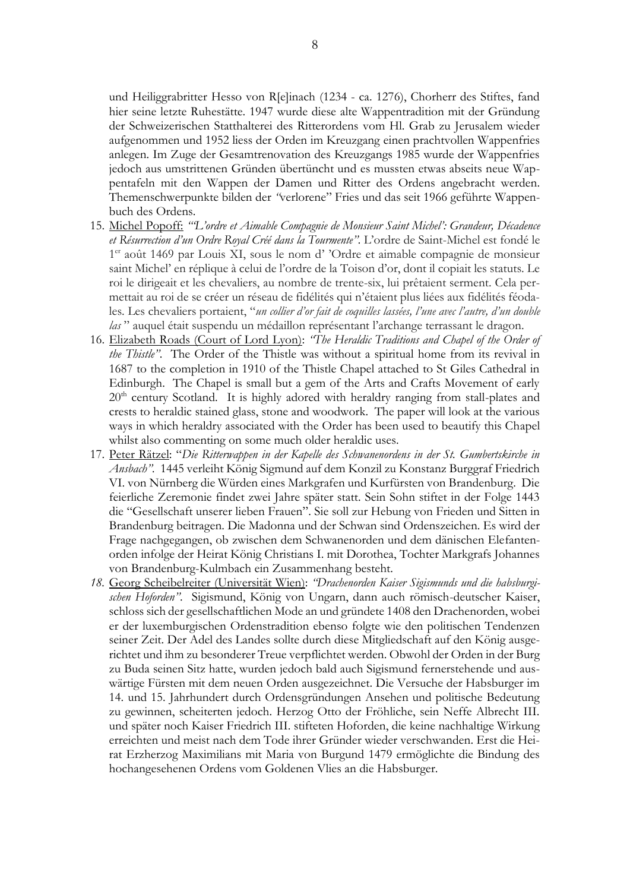und Heiliggrabritter Hesso von R[e]inach (1234 - ca. 1276), Chorherr des Stiftes, fand hier seine letzte Ruhestätte. 1947 wurde diese alte Wappentradition mit der Gründung der Schweizerischen Statthalterei des Ritterordens vom Hl. Grab zu Jerusalem wieder aufgenommen und 1952 liess der Orden im Kreuzgang einen prachtvollen Wappenfries anlegen. Im Zuge der Gesamtrenovation des Kreuzgangs 1985 wurde der Wappenfries jedoch aus umstrittenen Gründen übertüncht und es mussten etwas abseits neue Wappentafeln mit den Wappen der Damen und Ritter des Ordens angebracht werden. Themenschwerpunkte bilden der *"*verlorene" Fries und das seit 1966 geführte Wappenbuch des Ordens.

- 15. Michel Popoff: *"'L'ordre et Aimable Compagnie de Monsieur Saint Michel': Grandeur, Décadence et Résurrection d'un Ordre Royal Créé dans la Tourmente".* L'ordre de Saint-Michel est fondé le 1 er août 1469 par Louis XI, sous le nom d' 'Ordre et aimable compagnie de monsieur saint Michel' en réplique à celui de l'ordre de la Toison d'or, dont il copiait les statuts. Le roi le dirigeait et les chevaliers, au nombre de trente-six, lui prêtaient serment. Cela permettait au roi de se créer un réseau de fidélités qui n'étaient plus liées aux fidélités féodales. Les chevaliers portaient, "*un collier d'or fait de coquilles lassées, l'une avec l'autre, d'un double las* " auquel était suspendu un médaillon représentant l'archange terrassant le dragon.
- 16. Elizabeth Roads (Court of Lord Lyon): *"The Heraldic Traditions and Chapel of the Order of the Thistle"*. The Order of the Thistle was without a spiritual home from its revival in 1687 to the completion in 1910 of the Thistle Chapel attached to St Giles Cathedral in Edinburgh. The Chapel is small but a gem of the Arts and Crafts Movement of early  $20<sup>th</sup>$  century Scotland. It is highly adored with heraldry ranging from stall-plates and crests to heraldic stained glass, stone and woodwork. The paper will look at the various ways in which heraldry associated with the Order has been used to beautify this Chapel whilst also commenting on some much older heraldic uses.
- 17. Peter Rätzel: "*Die Ritterwappen in der Kapelle des Schwanenordens in der St. Gumbertskirche in Ansbach".* 1445 verleiht König Sigmund auf dem Konzil zu Konstanz Burggraf Friedrich VI. von Nürnberg die Würden eines Markgrafen und Kurfürsten von Brandenburg. Die feierliche Zeremonie findet zwei Jahre später statt. Sein Sohn stiftet in der Folge 1443 die "Gesellschaft unserer lieben Frauen". Sie soll zur Hebung von Frieden und Sitten in Brandenburg beitragen. Die Madonna und der Schwan sind Ordenszeichen. Es wird der Frage nachgegangen, ob zwischen dem Schwanenorden und dem dänischen Elefantenorden infolge der Heirat König Christians I. mit Dorothea, Tochter Markgrafs Johannes von Brandenburg-Kulmbach ein Zusammenhang besteht.
- *18.* Georg Scheibelreiter (Universität Wien): *"Drachenorden Kaiser Sigismunds und die habsburgischen Hoforden"*. Sigismund, König von Ungarn, dann auch römisch-deutscher Kaiser, schloss sich der gesellschaftlichen Mode an und gründete 1408 den Drachenorden, wobei er der luxemburgischen Ordenstradition ebenso folgte wie den politischen Tendenzen seiner Zeit. Der Adel des Landes sollte durch diese Mitgliedschaft auf den König ausgerichtet und ihm zu besonderer Treue verpflichtet werden. Obwohl der Orden in der Burg zu Buda seinen Sitz hatte, wurden jedoch bald auch Sigismund fernerstehende und auswärtige Fürsten mit dem neuen Orden ausgezeichnet. Die Versuche der Habsburger im 14. und 15. Jahrhundert durch Ordensgründungen Ansehen und politische Bedeutung zu gewinnen, scheiterten jedoch. Herzog Otto der Fröhliche, sein Neffe Albrecht III. und später noch Kaiser Friedrich III. stifteten Hoforden, die keine nachhaltige Wirkung erreichten und meist nach dem Tode ihrer Gründer wieder verschwanden. Erst die Heirat Erzherzog Maximilians mit Maria von Burgund 1479 ermöglichte die Bindung des hochangesehenen Ordens vom Goldenen Vlies an die Habsburger.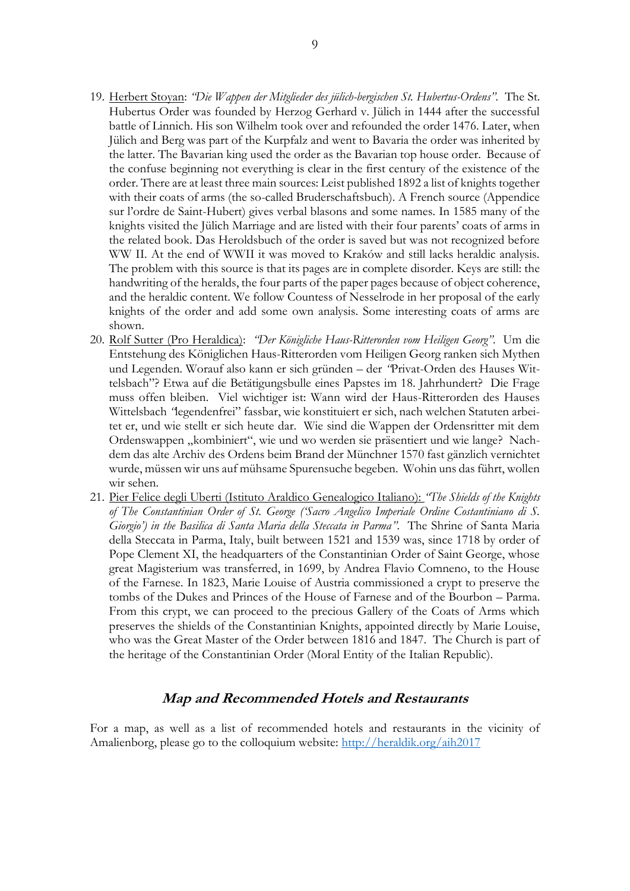- 19. Herbert Stoyan: *"Die Wappen der Mitglieder des jülich-bergischen St. Hubertus-Ordens".* The St. Hubertus Order was founded by Herzog Gerhard v. Jülich in 1444 after the successful battle of Linnich. His son Wilhelm took over and refounded the order 1476. Later, when Jülich and Berg was part of the Kurpfalz and went to Bavaria the order was inherited by the latter. The Bavarian king used the order as the Bavarian top house order. Because of the confuse beginning not everything is clear in the first century of the existence of the order. There are at least three main sources: Leist published 1892 a list of knights together with their coats of arms (the so-called Bruderschaftsbuch). A French source (Appendice sur l'ordre de Saint-Hubert) gives verbal blasons and some names. In 1585 many of the knights visited the Jülich Marriage and are listed with their four parents' coats of arms in the related book. Das Heroldsbuch of the order is saved but was not recognized before WW II. At the end of WWII it was moved to Kraków and still lacks heraldic analysis. The problem with this source is that its pages are in complete disorder. Keys are still: the handwriting of the heralds, the four parts of the paper pages because of object coherence, and the heraldic content. We follow Countess of Nesselrode in her proposal of the early knights of the order and add some own analysis. Some interesting coats of arms are shown.
- 20. Rolf Sutter (Pro Heraldica): *"Der Königliche Haus-Ritterorden vom Heiligen Georg"*. Um die Entstehung des Königlichen Haus-Ritterorden vom Heiligen Georg ranken sich Mythen und Legenden. Worauf also kann er sich gründen – der *"*Privat-Orden des Hauses Wittelsbach"? Etwa auf die Betätigungsbulle eines Papstes im 18. Jahrhundert? Die Frage muss offen bleiben. Viel wichtiger ist: Wann wird der Haus-Ritterorden des Hauses Wittelsbach *"*legendenfrei" fassbar, wie konstituiert er sich, nach welchen Statuten arbeitet er, und wie stellt er sich heute dar. Wie sind die Wappen der Ordensritter mit dem Ordenswappen "kombiniert", wie und wo werden sie präsentiert und wie lange? Nachdem das alte Archiv des Ordens beim Brand der Münchner 1570 fast gänzlich vernichtet wurde, müssen wir uns auf mühsame Spurensuche begeben. Wohin uns das führt, wollen wir sehen.
- 21. Pier Felice degli Uberti (Istituto Araldico Genealogico Italiano): *"The Shields of the Knights of The Constantinian Order of St. George ('Sacro Angelico Imperiale Ordine Costantiniano di S. Giorgio') in the Basilica di Santa Maria della Steccata in Parma".*The Shrine of Santa Maria della Steccata in Parma, Italy, built between 1521 and 1539 was, since 1718 by order of Pope Clement XI, the headquarters of the Constantinian Order of Saint George, whose great Magisterium was transferred, in 1699, by Andrea Flavio Comneno, to the House of the Farnese. In 1823, Marie Louise of Austria commissioned a crypt to preserve the tombs of the Dukes and Princes of the House of Farnese and of the Bourbon – Parma. From this crypt, we can proceed to the precious Gallery of the Coats of Arms which preserves the shields of the Constantinian Knights, appointed directly by Marie Louise, who was the Great Master of the Order between 1816 and 1847. The Church is part of the heritage of the Constantinian Order (Moral Entity of the Italian Republic).

## **Map and Recommended Hotels and Restaurants**

For a map, as well as a list of recommended hotels and restaurants in the vicinity of Amalienborg, please go to the colloquium website: [http://heraldik.org/aih2017](http://heraldik.org/aih2017/)